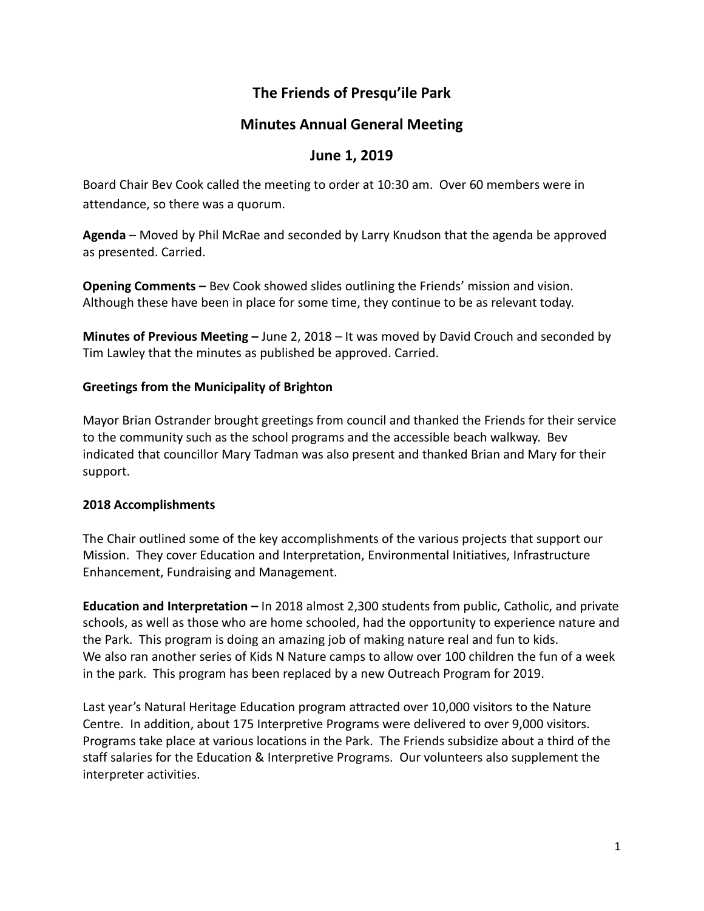# **The Friends of Presqu'ile Park**

# **Minutes Annual General Meeting**

## **June 1, 2019**

Board Chair Bev Cook called the meeting to order at 10:30 am. Over 60 members were in attendance, so there was a quorum.

**Agenda** – Moved by Phil McRae and seconded by Larry Knudson that the agenda be approved as presented. Carried.

**Opening Comments –** Bev Cook showed slides outlining the Friends' mission and vision. Although these have been in place for some time, they continue to be as relevant today.

**Minutes of Previous Meeting –** June 2, 2018 – It was moved by David Crouch and seconded by Tim Lawley that the minutes as published be approved. Carried.

### **Greetings from the Municipality of Brighton**

Mayor Brian Ostrander brought greetings from council and thanked the Friends for their service to the community such as the school programs and the accessible beach walkway. Bev indicated that councillor Mary Tadman was also present and thanked Brian and Mary for their support.

#### **2018 Accomplishments**

The Chair outlined some of the key accomplishments of the various projects that support our Mission. They cover Education and Interpretation, Environmental Initiatives, Infrastructure Enhancement, Fundraising and Management.

**Education and Interpretation –** In 2018 almost 2,300 students from public, Catholic, and private schools, as well as those who are home schooled, had the opportunity to experience nature and the Park. This program is doing an amazing job of making nature real and fun to kids. We also ran another series of Kids N Nature camps to allow over 100 children the fun of a week in the park. This program has been replaced by a new Outreach Program for 2019.

Last year's Natural Heritage Education program attracted over 10,000 visitors to the Nature Centre. In addition, about 175 Interpretive Programs were delivered to over 9,000 visitors. Programs take place at various locations in the Park. The Friends subsidize about a third of the staff salaries for the Education & Interpretive Programs. Our volunteers also supplement the interpreter activities.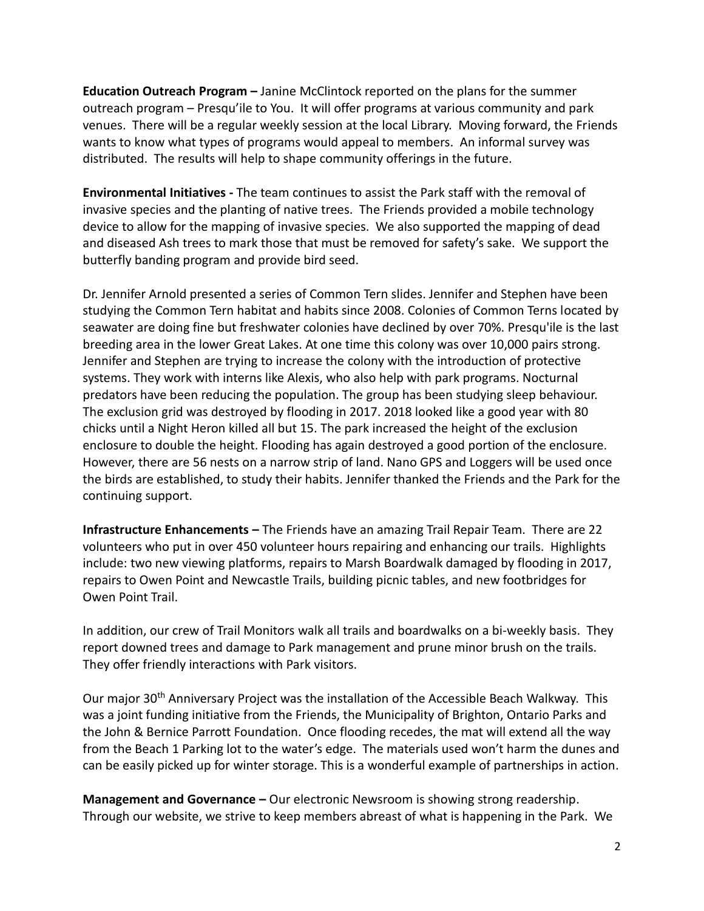**Education Outreach Program –** Janine McClintock reported on the plans for the summer outreach program – Presqu'ile to You. It will offer programs at various community and park venues. There will be a regular weekly session at the local Library. Moving forward, the Friends wants to know what types of programs would appeal to members. An informal survey was distributed. The results will help to shape community offerings in the future.

**Environmental Initiatives -** The team continues to assist the Park staff with the removal of invasive species and the planting of native trees. The Friends provided a mobile technology device to allow for the mapping of invasive species. We also supported the mapping of dead and diseased Ash trees to mark those that must be removed for safety's sake. We support the butterfly banding program and provide bird seed.

Dr. Jennifer Arnold presented a series of Common Tern slides. Jennifer and Stephen have been studying the Common Tern habitat and habits since 2008. Colonies of Common Terns located by seawater are doing fine but freshwater colonies have declined by over 70%. Presqu'ile is the last breeding area in the lower Great Lakes. At one time this colony was over 10,000 pairs strong. Jennifer and Stephen are trying to increase the colony with the introduction of protective systems. They work with interns like Alexis, who also help with park programs. Nocturnal predators have been reducing the population. The group has been studying sleep behaviour. The exclusion grid was destroyed by flooding in 2017. 2018 looked like a good year with 80 chicks until a Night Heron killed all but 15. The park increased the height of the exclusion enclosure to double the height. Flooding has again destroyed a good portion of the enclosure. However, there are 56 nests on a narrow strip of land. Nano GPS and Loggers will be used once the birds are established, to study their habits. Jennifer thanked the Friends and the Park for the continuing support.

**Infrastructure Enhancements –** The Friends have an amazing Trail Repair Team. There are 22 volunteers who put in over 450 volunteer hours repairing and enhancing our trails. Highlights include: two new viewing platforms, repairs to Marsh Boardwalk damaged by flooding in 2017, repairs to Owen Point and Newcastle Trails, building picnic tables, and new footbridges for Owen Point Trail.

In addition, our crew of Trail Monitors walk all trails and boardwalks on a bi-weekly basis. They report downed trees and damage to Park management and prune minor brush on the trails. They offer friendly interactions with Park visitors.

Our major 30th Anniversary Project was the installation of the Accessible Beach Walkway. This was a joint funding initiative from the Friends, the Municipality of Brighton, Ontario Parks and the John & Bernice Parrott Foundation. Once flooding recedes, the mat will extend all the way from the Beach 1 Parking lot to the water's edge. The materials used won't harm the dunes and can be easily picked up for winter storage. This is a wonderful example of partnerships in action.

**Management and Governance –** Our electronic Newsroom is showing strong readership. Through our website, we strive to keep members abreast of what is happening in the Park. We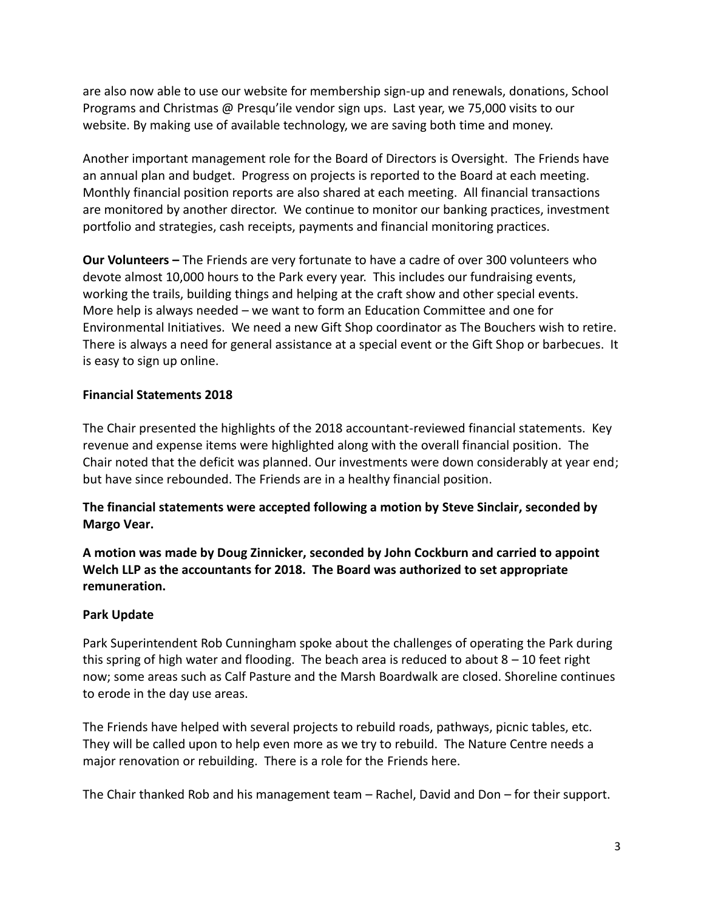are also now able to use our website for membership sign-up and renewals, donations, School Programs and Christmas @ Presqu'ile vendor sign ups. Last year, we 75,000 visits to our website. By making use of available technology, we are saving both time and money.

Another important management role for the Board of Directors is Oversight. The Friends have an annual plan and budget. Progress on projects is reported to the Board at each meeting. Monthly financial position reports are also shared at each meeting. All financial transactions are monitored by another director. We continue to monitor our banking practices, investment portfolio and strategies, cash receipts, payments and financial monitoring practices.

**Our Volunteers –** The Friends are very fortunate to have a cadre of over 300 volunteers who devote almost 10,000 hours to the Park every year. This includes our fundraising events, working the trails, building things and helping at the craft show and other special events. More help is always needed – we want to form an Education Committee and one for Environmental Initiatives. We need a new Gift Shop coordinator as The Bouchers wish to retire. There is always a need for general assistance at a special event or the Gift Shop or barbecues. It is easy to sign up online.

## **Financial Statements 2018**

The Chair presented the highlights of the 2018 accountant-reviewed financial statements. Key revenue and expense items were highlighted along with the overall financial position. The Chair noted that the deficit was planned. Our investments were down considerably at year end; but have since rebounded. The Friends are in a healthy financial position.

**The financial statements were accepted following a motion by Steve Sinclair, seconded by Margo Vear.**

**A motion was made by Doug Zinnicker, seconded by John Cockburn and carried to appoint Welch LLP as the accountants for 2018. The Board was authorized to set appropriate remuneration.**

### **Park Update**

Park Superintendent Rob Cunningham spoke about the challenges of operating the Park during this spring of high water and flooding. The beach area is reduced to about  $8 - 10$  feet right now; some areas such as Calf Pasture and the Marsh Boardwalk are closed. Shoreline continues to erode in the day use areas.

The Friends have helped with several projects to rebuild roads, pathways, picnic tables, etc. They will be called upon to help even more as we try to rebuild. The Nature Centre needs a major renovation or rebuilding. There is a role for the Friends here.

The Chair thanked Rob and his management team – Rachel, David and Don – for their support.